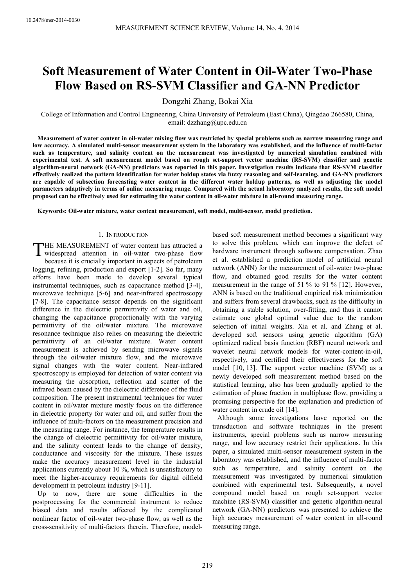# **Soft Measurement of Water Content in Oil-Water Two-Phase Flow Based on RS-SVM Classifier and GA-NN Predictor**

Dongzhi Zhang, Bokai Xia

College of Information and Control Engineering, China University of Petroleum (East China), Qingdao 266580, China, email: dzzhang@upc.edu.cn

**Measurement of water content in oil-water mixing flow was restricted by special problems such as narrow measuring range and low accuracy. A simulated multi-sensor measurement system in the laboratory was established, and the influence of multi-factor such as temperature, and salinity content on the measurement was investigated by numerical simulation combined with experimental test. A soft measurement model based on rough set-support vector machine (RS-SVM) classifier and genetic algorithm-neural network (GA-NN) predictors was reported in this paper. Investigation results indicate that RS-SVM classifier effectively realized the pattern identification for water holdup states via fuzzy reasoning and self-learning, and GA-NN predictors are capable of subsection forecasting water content in the different water holdup patterns, as well as adjusting the model parameters adaptively in terms of online measuring range. Compared with the actual laboratory analyzed results, the soft model proposed can be effectively used for estimating the water content in oil-water mixture in all-round measuring range.** 

**Keywords: Oil-water mixture, water content measurement, soft model, multi-sensor, model prediction.** 

#### 1. INTRODUCTION

HE MEASUREMENT of water content has attracted a THE MEASUREMENT of water content has attracted a widespread attention in oil-water two-phase flow because it is crucially important in aspects of petroleum logging, refining, production and export [1-2]. So far, many efforts have been made to develop several typical instrumental techniques, such as capacitance method [3-4], microwave technique [5-6] and near-infrared spectroscopy [7-8]. The capacitance sensor depends on the significant difference in the dielectric permittivity of water and oil, changing the capacitance proportionally with the varying permittivity of the oil/water mixture. The microwave resonance technique also relies on measuring the dielectric permittivity of an oil/water mixture. Water content measurement is achieved by sending microwave signals through the oil/water mixture flow, and the microwave signal changes with the water content. Near-infrared spectroscopy is employed for detection of water content via measuring the absorption, reflection and scatter of the infrared beam caused by the dielectric difference of the fluid composition. The present instrumental techniques for water content in oil/water mixture mostly focus on the difference in dielectric property for water and oil, and suffer from the influence of multi-factors on the measurement precision and the measuring range. For instance, the temperature results in the change of dielectric permittivity for oil/water mixture, and the salinity content leads to the change of density, conductance and viscosity for the mixture. These issues make the accuracy measurement level in the industrial applications currently about 10 %, which is unsatisfactory to meet the higher-accuracy requirements for digital oilfield development in petroleum industry [9-11].

Up to now, there are some difficulties in the postprocessing for the commercial instrument to reduce biased data and results affected by the complicated nonlinear factor of oil-water two-phase flow, as well as the cross-sensitivity of multi-factors therein. Therefore, modelbased soft measurement method becomes a significant way to solve this problem, which can improve the defect of hardware instrument through software compensation. Zhao et al. established a prediction model of artificial neural network (ANN) for the measurement of oil-water two-phase flow, and obtained good results for the water content measurement in the range of 51 % to 91 % [12]. However, ANN is based on the traditional empirical risk minimization and suffers from several drawbacks, such as the difficulty in obtaining a stable solution, over-fitting, and thus it cannot estimate one global optimal value due to the random selection of initial weights. Xia et al. and Zhang et al. developed soft sensors using genetic algorithm (GA) optimized radical basis function (RBF) neural network and wavelet neural network models for water-content-in-oil, respectively, and certified their effectiveness for the soft model [10, 13]. The support vector machine (SVM) as a newly developed soft measurement method based on the statistical learning, also has been gradually applied to the estimation of phase fraction in multiphase flow, providing a promising perspective for the explanation and prediction of water content in crude oil [14].

Although some investigations have reported on the transduction and software techniques in the present instruments, special problems such as narrow measuring range, and low accuracy restrict their applications. In this paper, a simulated multi-sensor measurement system in the laboratory was established, and the influence of multi-factor such as temperature, and salinity content on the measurement was investigated by numerical simulation combined with experimental test. Subsequently, a novel compound model based on rough set-support vector machine (RS-SVM) classifier and genetic algorithm-neural network (GA-NN) predictors was presented to achieve the high accuracy measurement of water content in all-round measuring range.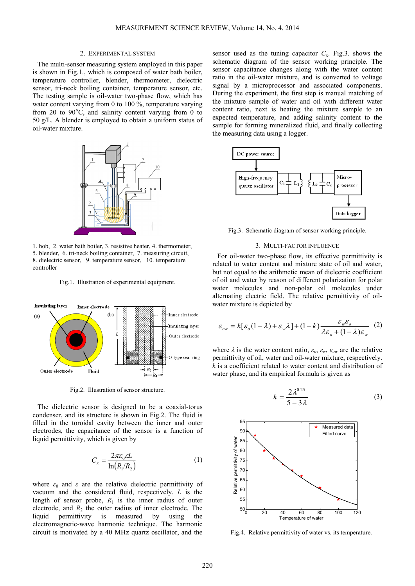#### 2. EXPERIMENTAL SYSTEM

The multi-sensor measuring system employed in this paper is shown in Fig.1., which is composed of water bath boiler, temperature controller, blender, thermometer, dielectric sensor, tri-neck boiling container, temperature sensor, etc. The testing sample is oil-water two-phase flow, which has water content varying from 0 to 100 %, temperature varying from 20 to 90°C, and salinity content varying from 0 to 50 g/L. A blender is employed to obtain a uniform status of oil-water mixture.



1. hob, 2. water bath boiler, 3. resistive heater, 4. thermometer, 5. blender, 6. tri-neck boiling container, 7. measuring circuit, 8. dielectric sensor, 9. temperature sensor, 10. temperature controller

Fig.1. Illustration of experimental equipment.



Fig.2. Illustration of sensor structure.

The dielectric sensor is designed to be a coaxial-torus condenser, and its structure is shown in Fig.2. The fluid is filled in the toroidal cavity between the inner and outer electrodes, the capacitance of the sensor is a function of liquid permittivity, which is given by

$$
C_x = \frac{2\pi\varepsilon_0 \varepsilon L}{\ln(R_1/R_2)}\tag{1}
$$

where  $\varepsilon_0$  and  $\varepsilon$  are the relative dielectric permittivity of vacuum and the considered fluid, respectively. *L* is the length of sensor probe,  $R_1$  is the inner radius of outer electrode, and  $R_2$  the outer radius of inner electrode. The liquid permittivity is measured by using the electromagnetic-wave harmonic technique. The harmonic circuit is motivated by a 40 MHz quartz oscillator, and the sensor used as the tuning capacitor  $C_x$ . Fig.3. shows the schematic diagram of the sensor working principle. The sensor capacitance changes along with the water content ratio in the oil-water mixture, and is converted to voltage signal by a microprocessor and associated components. During the experiment, the first step is manual matching of the mixture sample of water and oil with different water content ratio, next is heating the mixture sample to an expected temperature, and adding salinity content to the sample for forming mineralized fluid, and finally collecting the measuring data using a logger.



Fig.3. Schematic diagram of sensor working principle.

#### 3. MULTI-FACTOR INFLUENCE

For oil-water two-phase flow, its effective permittivity is related to water content and mixture state of oil and water, but not equal to the arithmetic mean of dielectric coefficient of oil and water by reason of different polarization for polar water molecules and non-polar oil molecules under alternating electric field. The relative permittivity of oilwater mixture is depicted by

$$
\varepsilon_{ow} = k[\varepsilon_o(1-\lambda) + \varepsilon_w\lambda] + (1-k)\frac{\varepsilon_w \varepsilon_o}{\lambda \varepsilon_o + (1-\lambda)\varepsilon_w} \tag{2}
$$

where  $\lambda$  is the water content ratio,  $\varepsilon_o$ ,  $\varepsilon_w$ ,  $\varepsilon_{ow}$  are the relative permittivity of oil, water and oil-water mixture, respectively. *k* is a coefficient related to water content and distribution of water phase, and its empirical formula is given as

$$
k = \frac{2\lambda^{0.25}}{5 - 3\lambda} \tag{3}
$$



Fig.4. Relative permittivity of water vs. its temperature.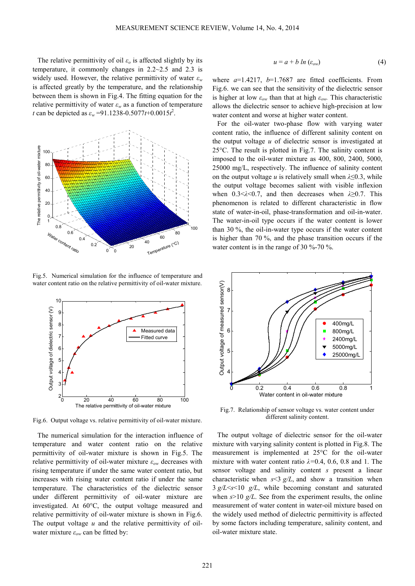The relative permittivity of oil  $\varepsilon$ <sup>*o*</sup> is affected slightly by its temperature, it commonly changes in 2.2~2.5 and 2.3 is widely used. However, the relative permittivity of water  $\varepsilon_w$ is affected greatly by the temperature, and the relationship between them is shown in Fig.4. The fitting equation for the relative permittivity of water *εw* as a function of temperature *t* can be depicted as  $\varepsilon_w = 91.1238 - 0.5077t + 0.0015t^2$ .



Fig.5. Numerical simulation for the influence of temperature and water content ratio on the relative permittivity of oil-water mixture.



Fig.6. Output voltage vs. relative permittivity of oil-water mixture.

The numerical simulation for the interaction influence of temperature and water content ratio on the relative permittivity of oil-water mixture is shown in Fig.5. The relative permittivity of oil-water mixture *εow* decreases with rising temperature if under the same water content ratio, but increases with rising water content ratio if under the same temperature. The characteristics of the dielectric sensor under different permittivity of oil-water mixture are investigated. At 60°C, the output voltage measured and relative permittivity of oil-water mixture is shown in Fig.6. The output voltage *u* and the relative permittivity of oilwater mixture *εow* can be fitted by:

$$
u = a + b \ln (\varepsilon_{ow}) \tag{4}
$$

where  $a=1.4217$ ,  $b=1.7687$  are fitted coefficients. From Fig.6. we can see that the sensitivity of the dielectric sensor is higher at low *εow* than that at high *εow.* This characteristic allows the dielectric sensor to achieve high-precision at low water content and worse at higher water content.

For the oil-water two-phase flow with varying water content ratio, the influence of different salinity content on the output voltage *u* of dielectric sensor is investigated at 25°C. The result is plotted in Fig.7. The salinity content is imposed to the oil-water mixture as 400, 800, 2400, 5000, 25000 mg/L, respectively. The influence of salinity content on the output voltage  $u$  is relatively small when  $\lambda \leq 0.3$ , while the output voltage becomes salient with visible inflexion when 0.3<*λ*<0.7, and then decreases when *λ*≥0.7. This phenomenon is related to different characteristic in flow state of water-in-oil, phase-transformation and oil-in-water. The water-in-oil type occurs if the water content is lower than 30 %, the oil-in-water type occurs if the water content is higher than 70 %, and the phase transition occurs if the water content is in the range of 30 %-70 %.



Fig.7. Relationship of sensor voltage vs. water content under different salinity content.

The output voltage of dielectric sensor for the oil-water mixture with varying salinity content is plotted in Fig.8. The measurement is implemented at 25°C for the oil-water mixture with water content ratio *λ=*0.4, 0.6, 0.8 and 1. The sensor voltage and salinity content *s* present a linear characteristic when  $s < 3$   $g/L$ , and show a transition when 3 *g/L*<*s*<10 *g/L*, while becoming constant and saturated when  $s > 10$   $g/L$ . See from the experiment results, the online measurement of water content in water-oil mixture based on the widely used method of dielectric permittivity is affected by some factors including temperature, salinity content, and oil-water mixture state.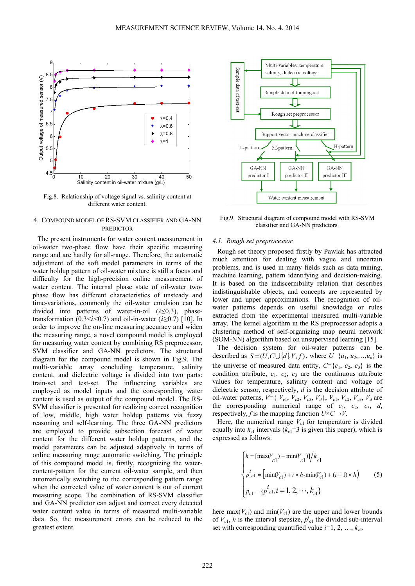

Fig.8. Relationship of voltage signal vs. salinity content at different water content.

## 4. COMPOUND MODEL OF RS-SVM CLASSIFIER AND GA-NN **PREDICTOR**

The present instruments for water content measurement in oil-water two-phase flow have their specific measuring range and are hardly for all-range. Therefore, the automatic adjustment of the soft model parameters in terms of the water holdup pattern of oil-water mixture is still a focus and difficulty for the high-precision online measurement of water content. The internal phase state of oil-water twophase flow has different characteristics of unsteady and time-variations, commonly the oil-water emulsion can be divided into patterns of water-in-oil (*λ*≤0.3), phasetransformation (0.3<*λ*<0.7) and oil-in-water (*λ*≥0.7) [10]. In order to improve the on-line measuring accuracy and widen the measuring range, a novel compound model is employed for measuring water content by combining RS preprocessor, SVM classifier and GA-NN predictors. The structural diagram for the compound model is shown in Fig.9. The multi-variable array concluding temperature, salinity content, and dielectric voltage is divided into two parts: train-set and test-set. The influencing variables are employed as model inputs and the corresponding water content is used as output of the compound model. The RS-SVM classifier is presented for realizing correct recognition of low, middle, high water holdup patterns via fuzzy reasoning and self-learning. The three GA-NN predictors are employed to provide subsection forecast of water content for the different water holdup patterns, and the model parameters can be adjusted adaptively in terms of online measuring range automatic switching. The principle of this compound model is, firstly, recognizing the watercontent-pattern for the current oil-water sample, and then automatically switching to the corresponding pattern range when the corrected value of water content is out of current measuring scope. The combination of RS-SVM classifier and GA-NN predictor can adjust and correct every detected water content value in terms of measured multi-variable data. So, the measurement errors can be reduced to the greatest extent.



Fig.9. Structural diagram of compound model with RS-SVM classifier and GA-NN predictors.

## *4.1. Rough set preprocessor.*

Rough set theory proposed firstly by Pawlak has attracted much attention for dealing with vague and uncertain problems, and is used in many fields such as data mining, machine learning, pattern identifying and decision-making. It is based on the indiscernibility relation that describes indistinguishable objects, and concepts are represented by lower and upper approximations. The recognition of oilwater patterns depends on useful knowledge or rules extracted from the experimental measured multi-variable array. The kernel algorithm in the RS preprocessor adopts a clustering method of self-organizing map neural network (SOM-NN) algorithm based on unsupervised learning [15].

The decision system for oil-water patterns can be described as  $S = (U, C \cup \{d\}, V, f)$ , where  $U = \{u_1, u_2, \ldots, u_n\}$  is the universe of measured data entity,  $C = \{c_1, c_2, c_3\}$  is the condition attribute,  $c_1$ ,  $c_2$ ,  $c_3$  are the continuous attribute values for temperature, salinity content and voltage of dielectric sensor, respectively, *d* is the decision attribute of oil-water patterns, *V*={ *Vc*1, *Vc*2, *Vc*3, *Vd*}, *Vc*1, *Vc*2, *Vc*3, *Vd* are the corresponding numerical range of  $c_1$ ,  $c_2$ ,  $c_3$ ,  $d$ , respectively, *f* is the mapping function  $U \times C \rightarrow V$ .

Here, the numerical range  $V_{c1}$  for temperature is divided equally into  $k_{c1}$  intervals ( $k_{c1}$ =3 is given this paper), which is expressed as follows:

$$
\begin{cases}\nh = [\max(V_{c1}) - \min(V_{c1})]/k_{c1} \\
\quad \rho^i_{c1} = [\min(V_{c1}) + i \times h, \min(V_{c1}) + (i + 1) \times h) \\
p_{c1} = \{p^i_{c1}, i = 1, 2, \cdots, k_{c1}\}\n\end{cases}
$$
\n(5)

here  $max(V_{c1})$  and  $min(V_{c1})$  are the upper and lower bounds of  $V_{c1}$ , *h* is the interval stepsize,  $p_{c1}^i$  the divided sub-interval set with corresponding quantified value  $i=1, 2, ..., k_{c1}$ .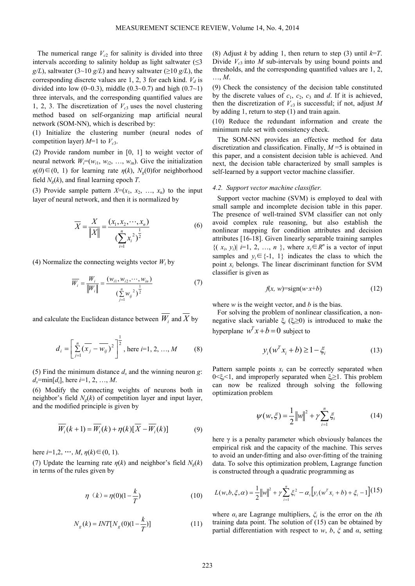The numerical range  $V_{c2}$  for salinity is divided into three intervals according to salinity holdup as light saltwater  $(\leq)$  $g/L$ ), saltwater (3~10 *g/L*) and heavy saltwater ( $\geq$ 10 *g/L*), the corresponding discrete values are 1, 2, 3 for each kind. *Vd* is divided into low  $(0\negthinspace\negthinspace\sim\negthinspace 0.3)$ , middle  $(0.3\negthinspace\negthinspace\negthinspace 0.7)$  and high  $(0.7\negthinspace\negthinspace 1)$ three intervals, and the corresponding quantified values are 1, 2, 3. The discretization of  $V_{c3}$  uses the novel clustering method based on self-organizing map artificial neural network (SOM-NN), which is described by:

(1) Initialize the clustering number (neural nodes of competition layer)  $M=1$  to  $V<sub>c3</sub>$ .

(2) Provide random number in [0, 1] to weight vector of neural network  $W_i=(w_{i1}, w_{i2}, \ldots, w_{in})$ . Give the initialization  $η(0) \in (0, 1)$  for learning rate  $η(k)$ ,  $N_g(0)$  for neighborhood field  $N<sub>g</sub>(k)$ , and final learning epoch *T*.

(3) Provide sample pattern  $X=(x_1, x_2, \ldots, x_n)$  to the input layer of neural network, and then it is normalized by

$$
\overline{X} = \frac{X}{\|X\|} = \frac{(x_1, x_2, \cdots, x_n)}{\left(\sum_{i=1}^n x_i^2\right)^{\frac{1}{2}}} \tag{6}
$$

(4) Normalize the connecting weights vector  $W_i$  by

$$
\overline{W_i} = \frac{W_i}{\|W_i\|} = \frac{(w_{i1}, w_{i2}, \cdots, w_{in})}{\left(\sum_{j=1}^n w_{ij}^2\right)^{\frac{1}{2}}}
$$
(7)

and calculate the Euclidean distance between  $W_i$  and  $X$  by

$$
d_i = \left[ \sum_{j=1}^{n} \overline{(x_j - w_{ij})^2} \right]^{\frac{1}{2}}, \text{ here } i = 1, 2, ..., M \quad (8)
$$

(5) Find the minimum distance  $d_s$  and the winning neuron  $g$ :  $d_s$ =min[ $d_i$ ], here *i*=1, 2, …, *M*.

(6) Modify the connecting weights of neurons both in neighbor's field  $N_p(k)$  of competition layer and input layer, and the modified principle is given by

$$
\overline{W_i}(k+1) = \overline{W_i}(k) + \eta(k)[\overline{X} - \overline{W_i}(k)] \tag{9}
$$

here  $i=1,2,\dots,M$ ,  $\eta(k) \in (0, 1)$ .

(7) Update the learning rate  $n(k)$  and neighbor's field  $N<sub>g</sub>(k)$ in terms of the rules given by

$$
\eta(k) = \eta(0)(1 - \frac{k}{T})\tag{10}
$$

$$
N_g(k) = INT[N_g(0)(1 - \frac{k}{T})]
$$
\n(11)

(8) Adjust *k* by adding 1, then return to step (3) until  $k=T$ . Divide  $V_{c3}$  into  $M$  sub-intervals by using bound points and thresholds, and the corresponding quantified values are 1, 2, …, *M*.

(9) Check the consistency of the decision table constituted by the discrete values of  $c_1$ ,  $c_2$ ,  $c_3$  and *d*. If it is achieved, then the discretization of  $V_{c3}$  is successful; if not, adjust M by adding 1, return to step (1) and train again.

(10) Reduce the redundant information and create the minimum rule set with consistency check.

The SOM-NN provides an effective method for data discretization and classification. Finally, *M* =5 is obtained in this paper, and a consistent decision table is achieved. And next, the decision table characterized by small samples is self-learned by a support vector machine classifier.

#### *4.2. Support vector machine classifier.*

Support vector machine (SVM) is employed to deal with small sample and incomplete decision table in this paper. The presence of well-trained SVM classifier can not only avoid complex rule reasoning, but also establish the nonlinear mapping for condition attributes and decision attributes [16-18]. Given linearly separable training samples  $\{(x_i, y_i) | i=1, 2, ..., n\}$ , where  $x_i \in R^n$  is a vector of input samples and  $v_i \in \{-1, 1\}$  indicates the class to which the point *x<sup>i</sup>* belongs. The linear discriminant function for SVM classifier is given as

$$
f(x, w) = sign(w \cdot x + b) \tag{12}
$$

where *w* is the weight vector, and *b* is the bias.

For solving the problem of nonlinear classification, a nonnegative slack variable ξ*<sup>i</sup>* (ξ*i*≥0) is introduced to make the hyperplane  $w^T x + b = 0$  subject to

$$
y_i(w^T x_i + b) \ge 1 - \xi_i \tag{13}
$$

Pattern sample points  $x_i$  can be correctly separated when 0<ξ*i*<1, and improperly separated when ξ*i*≥1. This problem can now be realized through solving the following optimization problem

$$
\psi(w,\xi) = \frac{1}{2} ||w||^2 + \gamma \sum_{i=1}^{n} \xi_i
$$
 (14)

here  $\gamma$  is a penalty parameter which obviously balances the empirical risk and the capacity of the machine. This serves to avoid an under-fitting and also over-fitting of the training data. To solve this optimization problem, Lagrange function is constructed through a quadratic programming as

$$
L(w, b, \xi, \alpha) = \frac{1}{2} ||w||^2 + \gamma \sum_{i=1}^n \xi_i^2 - \alpha_i [y_i(w^T x_i + b) + \xi_i - 1] (15)
$$

where  $\alpha_i$  are Lagrange multipliers,  $\xi_i$  is the error on the *i*th training data point. The solution of (15) can be obtained by partial differentiation with respect to *w*, *b*,  $\xi$  and  $\alpha$ , setting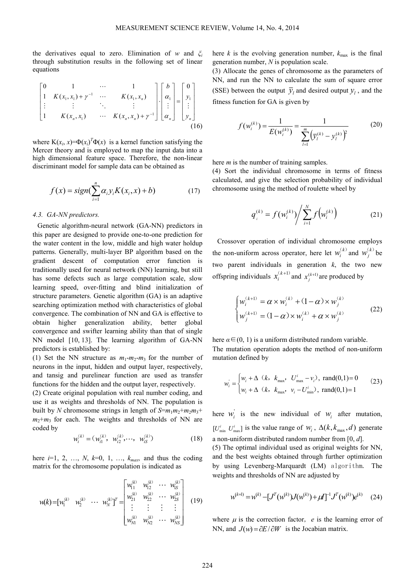the derivatives equal to zero. Elimination of *w* and *ξ<sup>i</sup>* through substitution results in the following set of linear equations

$$
\begin{bmatrix} 0 & 1 & \cdots & 1 \\ 1 & K(x_1, x_1) + \gamma^{-1} & \cdots & K(x_1, x_n) \\ \vdots & \vdots & \ddots & \vdots \\ 1 & K(x_n, x_1) & \cdots & K(x_n, x_n) + \gamma^{-1} \end{bmatrix} \begin{bmatrix} b \\ \alpha_1 \\ \vdots \\ \alpha_n \end{bmatrix} = \begin{bmatrix} 0 \\ y_1 \\ \vdots \\ y_n \end{bmatrix}
$$
(16)

where  $K(x_i, x) = \Phi(x_i)^T \Phi(x)$  is a kernel function satisfying the Mercer theory and is employed to map the input data into a high dimensional feature space. Therefore, the non-linear discriminant model for sample data can be obtained as

$$
f(x) = sign(\sum_{i=1}^{n} \alpha_i y_i K(x_i, x) + b)
$$
 (17)

## *4.3. GA-NN predictors.*

Genetic algorithm-neural network (GA-NN) predictors in this paper are designed to provide one-to-one prediction for the water content in the low, middle and high water holdup patterns. Generally, multi-layer BP algorithm based on the gradient descent of computation error function is traditionally used for neural network (NN) learning, but still has some defects such as large computation scale, slow learning speed, over-fitting and blind initialization of structure parameters. Genetic algorithm (GA) is an adaptive searching optimization method with characteristics of global convergence. The combination of NN and GA is effective to obtain higher generalization ability, better global convergence and swifter learning ability than that of single NN model [10, 13]. The learning algorithm of GA-NN predictors is established by:

(1) Set the NN structure as  $m_1-m_2-m_3$  for the number of neurons in the input, hidden and output layer, respectively, and tansig and purelinear function are used as transfer functions for the hidden and the output layer, respectively.

(2) Create original population with real number coding, and use it as weights and thresholds of NN. The population is built by *N* chromosome strings in length of  $S=m_1m_2+m_2m_3$ +  $m_2+m_3$  for each. The weights and thresholds of NN are coded by

$$
w_i^{(k)} = (w_{i1}^{(k)}, \ w_{i2}^{(k)}, \cdots, \ w_{iS}^{(k)})
$$
 (18)

here  $i=1, 2, ..., N$ ,  $k=0, 1, ..., k_{max}$ , and thus the coding matrix for the chromosome population is indicated as

$$
u(k) = [w_1^{(k)} \quad w_2^{(k)} \quad \cdots \quad w_N^{(k)}]^T = \begin{bmatrix} w_{11}^{(k)} & w_{12}^{(k)} & \cdots & w_{1S}^{(k)} \\ w_{21}^{(k)} & w_{22}^{(k)} & \cdots & w_{2S}^{(k)} \\ \vdots & \vdots & \vdots & \vdots \\ w_{N1}^{(k)} & w_{N2}^{(k)} & \cdots & w_{NS}^{(k)} \end{bmatrix}
$$
 (19)

here *k* is the evolving generation number,  $k_{\text{max}}$  is the final generation number, *N* is population scale.

(3) Allocate the genes of chromosome as the parameters of NN, and run the NN to calculate the sum of square error (SSE) between the output  $\overline{y}_l$  and desired output  $y_l$ , and the fitness function for GA is given by

$$
f(w_i^{(k)}) = \frac{1}{E(w_i^{(k)})} = \frac{1}{\sum_{l=1}^{m} (\bar{y}_l^{(k)} - y_l^{(k)})^2}
$$
(20)

here *m* is the number of training samples.

(4) Sort the individual chromosome in terms of fitness calculated, and give the selection probability of individual chromosome using the method of roulette wheel by

$$
q_i^{(k)} = f(w_i^{(k)}) / \sum_{i=1}^{N} f(w_i^{(k)})
$$
 (21)

Crossover operation of individual chromosome employs the non-uniform across operator, here let  $w_i^{(k)}$  and  $w_j^{(k)}$  be two parent individuals in generation  $k$ , the two new offspring individuals  $x_i^{(k+1)}$  and  $x_j^{(k+1)}$  are produced by

$$
\begin{cases} w_i^{(k+1)} = \alpha \times w_i^{(k)} + (1 - \alpha) \times w_j^{(k)} \\ w_j^{(k+1)} = (1 - \alpha) \times w_i^{(k)} + \alpha \times w_j^{(k)} \end{cases}
$$
 (22)

here  $\alpha \in (0, 1)$  is a uniform distributed random variable. The mutation operation adopts the method of non-uniform mutation defined by

$$
w_i =\begin{cases} w_i + \Delta \ (k, \ k_{\text{max}}, \ U_{\text{max}}^i - v_i), \ \text{rand}(0,1) = 0 \\ w_i + \Delta \ (k, \ k_{\text{max}}, \ v_i - U_{\text{min}}^i), \ \text{rand}(0,1) = 1 \end{cases} \tag{23}
$$

here  $w_i$  is the new individual of  $w_i$  after mutation,  $[U^i_{\min} \ U^i_{\max}]$  is the value range of  $W_i$ ,  $\Delta(k, k_{\max}, d)$  generate a non-uniform distributed random number from [0, *d*].

(5) The optimal individual used as original weights for NN, and the best weights obtained through further optimization by using Levenberg-Marquardt (LM) algorithm. The weights and thresholds of NN are adjusted by

$$
w^{(k+1)} = w^{(k)} - [J^T(w^{(k)})J(w^{(k)}) + \mu J]^{-1}J^T(w^{(k)})e^{(k)} \quad (24)
$$

where  $\mu$  is the correction factor,  $e$  is the learning error of NN, and  $J(w) = \partial E / \partial W$  is the Jocabian matrix.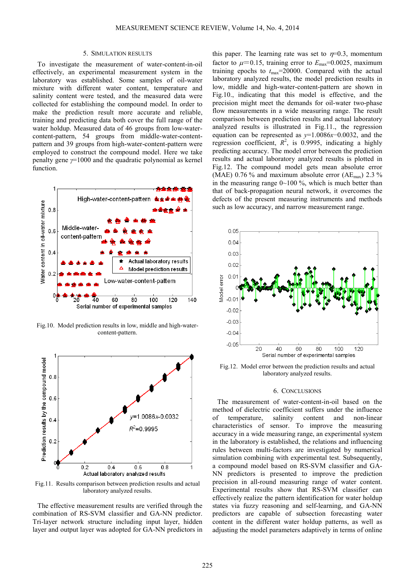#### 5. SIMULATION RESULTS

To investigate the measurement of water-content-in-oil effectively, an experimental measurement system in the laboratory was established. Some samples of oil-water mixture with different water content, temperature and salinity content were tested, and the measured data were collected for establishing the compound model. In order to make the prediction result more accurate and reliable, training and predicting data both cover the full range of the water holdup. Measured data of 46 groups from low-watercontent-pattern, 54 groups from middle-water-contentpattern and 39 groups from high-water-content-pattern were employed to construct the compound model. Here we take penalty gene *γ*=1000 and the quadratic polynomial as kernel function.



Fig.10. Model prediction results in low, middle and high-watercontent-pattern.



Fig.11. Results comparison between prediction results and actual laboratory analyzed results.

The effective measurement results are verified through the combination of RS-SVM classifier and GA-NN predictor. Tri-layer network structure including input layer, hidden layer and output layer was adopted for GA-NN predictors in

this paper. The learning rate was set to  $\eta$ =0.3, momentum factor to  $\mu$ =0.15, training error to  $E_{\text{max}}$ =0.0025, maximum training epochs to *t*max=20000. Compared with the actual laboratory analyzed results, the model prediction results in low, middle and high-water-content-pattern are shown in Fig.10., indicating that this model is effective, and the precision might meet the demands for oil-water two-phase flow measurements in a wide measuring range. The result comparison between prediction results and actual laboratory analyzed results is illustrated in Fig.11., the regression equation can be represented as *y*=1.0086*x*−0.0032, and the regression coefficient,  $R^2$ , is 0.9995, indicating a highly predicting accuracy. The model error between the prediction results and actual laboratory analyzed results is plotted in Fig.12. The compound model gets mean absolute error (MAE) 0.76 % and maximum absolute error ( $AE_{max}$ ) 2.3 % in the measuring range  $0 \sim 100$  %, which is much better than that of back-propagation neural network, it overcomes the defects of the present measuring instruments and methods such as low accuracy, and narrow measurement range.



Fig.12. Model error between the prediction results and actual laboratory analyzed results.

## 6. CONCLUSIONS

The measurement of water-content-in-oil based on the method of dielectric coefficient suffers under the influence of temperature, salinity content and non-linear characteristics of sensor. To improve the measuring accuracy in a wide measuring range, an experimental system in the laboratory is established, the relations and influencing rules between multi-factors are investigated by numerical simulation combining with experimental test. Subsequently, a compound model based on RS-SVM classifier and GA-NN predictors is presented to improve the prediction precision in all-round measuring range of water content. Experimental results show that RS-SVM classifier can effectively realize the pattern identification for water holdup states via fuzzy reasoning and self-learning, and GA-NN predictors are capable of subsection forecasting water content in the different water holdup patterns, as well as adjusting the model parameters adaptively in terms of online